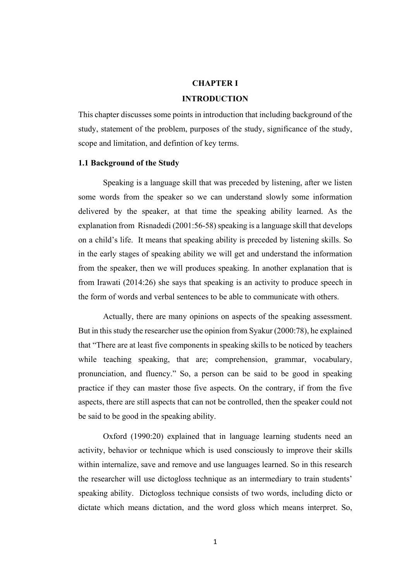### **CHAPTER I**

#### **INTRODUCTION**

This chapter discusses some points in introduction that including background of the study, statement of the problem, purposes of the study, significance of the study, scope and limitation, and defintion of key terms.

## **1.1 Background of the Study**

Speaking is a language skill that was preceded by listening, after we listen some words from the speaker so we can understand slowly some information delivered by the speaker, at that time the speaking ability learned. As the explanation from Risnadedi (2001:56-58) speaking is a language skill that develops on a child's life. It means that speaking ability is preceded by listening skills. So in the early stages of speaking ability we will get and understand the information from the speaker, then we will produces speaking. In another explanation that is from Irawati (2014:26) she says that speaking is an activity to produce speech in the form of words and verbal sentences to be able to communicate with others.

Actually, there are many opinions on aspects of the speaking assessment. But in this study the researcher use the opinion from Syakur (2000:78), he explained that "There are at least five components in speaking skills to be noticed by teachers while teaching speaking, that are; comprehension, grammar, vocabulary, pronunciation, and fluency." So, a person can be said to be good in speaking practice if they can master those five aspects. On the contrary, if from the five aspects, there are still aspects that can not be controlled, then the speaker could not be said to be good in the speaking ability.

Oxford (1990:20) explained that in language learning students need an activity, behavior or technique which is used consciously to improve their skills within internalize, save and remove and use languages learned. So in this research the researcher will use dictogloss technique as an intermediary to train students' speaking ability. Dictogloss technique consists of two words, including dicto or dictate which means dictation, and the word gloss which means interpret. So,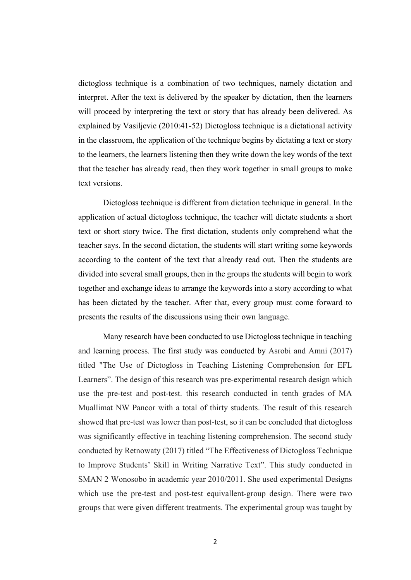dictogloss technique is a combination of two techniques, namely dictation and interpret. After the text is delivered by the speaker by dictation, then the learners will proceed by interpreting the text or story that has already been delivered. As explained by Vasiljevic (2010:41-52) Dictogloss technique is a dictational activity in the classroom, the application of the technique begins by dictating a text or story to the learners, the learners listening then they write down the key words of the text that the teacher has already read, then they work together in small groups to make text versions.

Dictogloss technique is different from dictation technique in general. In the application of actual dictogloss technique, the teacher will dictate students a short text or short story twice. The first dictation, students only comprehend what the teacher says. In the second dictation, the students will start writing some keywords according to the content of the text that already read out. Then the students are divided into several small groups, then in the groups the students will begin to work together and exchange ideas to arrange the keywords into a story according to what has been dictated by the teacher. After that, every group must come forward to presents the results of the discussions using their own language.

Many research have been conducted to use Dictogloss technique in teaching and learning process. The first study was conducted by Asrobi and Amni (2017) titled "The Use of Dictogloss in Teaching Listening Comprehension for EFL Learners". The design of this research was pre-experimental research design which use the pre-test and post-test. this research conducted in tenth grades of MA Muallimat NW Pancor with a total of thirty students. The result of this research showed that pre-test was lower than post-test, so it can be concluded that dictogloss was significantly effective in teaching listening comprehension. The second study conducted by Retnowaty (2017) titled "The Effectiveness of Dictogloss Technique to Improve Students' Skill in Writing Narrative Text". This study conducted in SMAN 2 Wonosobo in academic year 2010/2011. She used experimental Designs which use the pre-test and post-test equivallent-group design. There were two groups that were given different treatments. The experimental group was taught by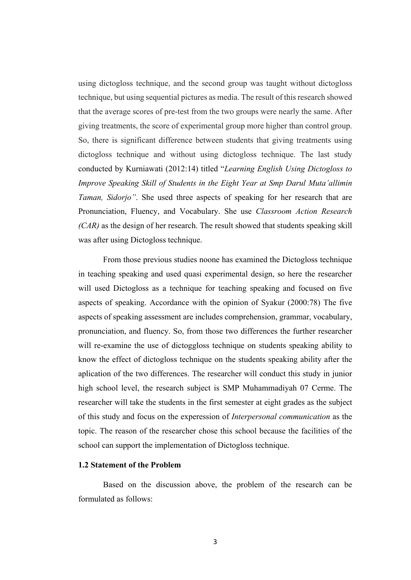using dictogloss technique, and the second group was taught without dictogloss technique, but using sequential pictures as media. The result of this research showed that the average scores of pre-test from the two groups were nearly the same. After giving treatments, the score of experimental group more higher than control group. So, there is significant difference between students that giving treatments using dictogloss technique and without using dictogloss technique. The last study conducted by Kurniawati (2012:14) titled "*Learning English Using Dictogloss to Improve Speaking Skill of Students in the Eight Year at Smp Darul Muta'allimin Taman, Sidorjo"*. She used three aspects of speaking for her research that are Pronunciation, Fluency, and Vocabulary. She use *Classroom Action Research (CAR)* as the design of her research. The result showed that students speaking skill was after using Dictogloss technique.

From those previous studies noone has examined the Dictogloss technique in teaching speaking and used quasi experimental design, so here the researcher will used Dictogloss as a technique for teaching speaking and focused on five aspects of speaking. Accordance with the opinion of Syakur (2000:78) The five aspects of speaking assessment are includes comprehension, grammar, vocabulary, pronunciation, and fluency. So, from those two differences the further researcher will re-examine the use of dictoggloss technique on students speaking ability to know the effect of dictogloss technique on the students speaking ability after the aplication of the two differences. The researcher will conduct this study in junior high school level, the research subject is SMP Muhammadiyah 07 Cerme. The researcher will take the students in the first semester at eight grades as the subject of this study and focus on the experession of *Interpersonal communication* as the topic. The reason of the researcher chose this school because the facilities of the school can support the implementation of Dictogloss technique.

# **1.2 Statement of the Problem**

Based on the discussion above, the problem of the research can be formulated as follows: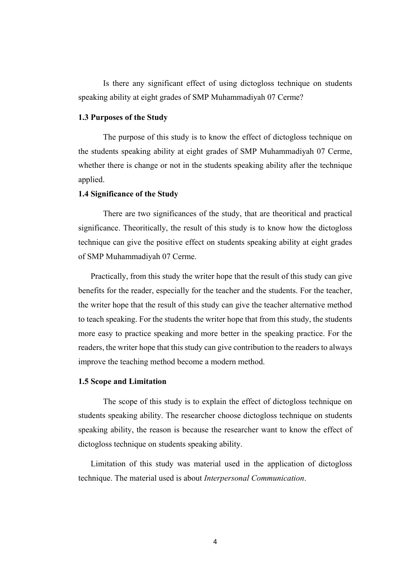Is there any significant effect of using dictogloss technique on students speaking ability at eight grades of SMP Muhammadiyah 07 Cerme?

# **1.3 Purposes of the Study**

The purpose of this study is to know the effect of dictogloss technique on the students speaking ability at eight grades of SMP Muhammadiyah 07 Cerme, whether there is change or not in the students speaking ability after the technique applied.

# **1.4 Significance of the Study**

There are two significances of the study, that are theoritical and practical significance. Theoritically, the result of this study is to know how the dictogloss technique can give the positive effect on students speaking ability at eight grades of SMP Muhammadiyah 07 Cerme.

Practically, from this study the writer hope that the result of this study can give benefits for the reader, especially for the teacher and the students. For the teacher, the writer hope that the result of this study can give the teacher alternative method to teach speaking. For the students the writer hope that from this study, the students more easy to practice speaking and more better in the speaking practice. For the readers, the writer hope that this study can give contribution to the readers to always improve the teaching method become a modern method.

### **1.5 Scope and Limitation**

The scope of this study is to explain the effect of dictogloss technique on students speaking ability. The researcher choose dictogloss technique on students speaking ability, the reason is because the researcher want to know the effect of dictogloss technique on students speaking ability.

Limitation of this study was material used in the application of dictogloss technique. The material used is about *Interpersonal Communication*.